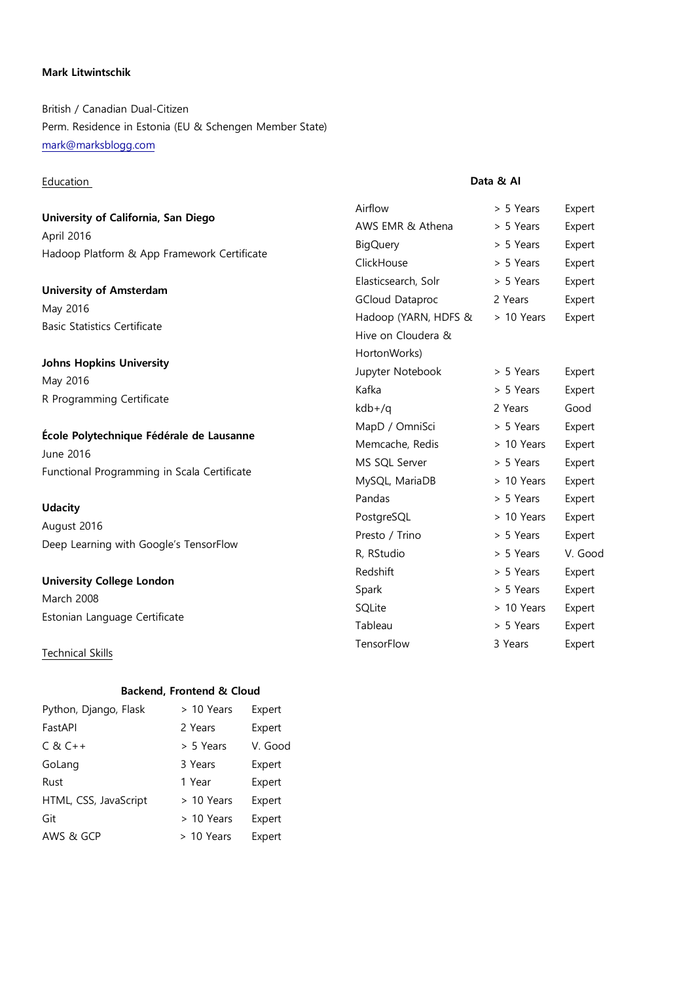# **Mark Litwintschik**

British / Canadian Dual-Citizen Perm. Residence in Estonia (EU & Schengen Member State) mark@marksblogg.com

### Education

**University of California, San Diego** April 2016 Hadoop Platform & App Framework Certificate

**University of Amsterdam** May 2016 Basic Statistics Certificate

**Johns Hopkins University** May 2016 R Programming Certificate

**École Polytechnique Fédérale de Lausanne** June 2016 Functional Programming in Scala Certificate

### **Udacity**

August 2016 Deep Learning with Google's TensorFlow

### **University College London**

March 2008 Estonian Language Certificate

Technical Skills

# **Data & AI**

| Airflow                | > 5 Years  | Expert  |
|------------------------|------------|---------|
| AWS EMR & Athena       | > 5 Years  | Expert  |
| <b>BigQuery</b>        | > 5 Years  | Expert  |
| ClickHouse             | > 5 Years  | Expert  |
| Elasticsearch, Solr    | > 5 Years  | Expert  |
| <b>GCloud Dataproc</b> | 2 Years    | Expert  |
| Hadoop (YARN, HDFS &   | > 10 Years | Expert  |
| Hive on Cloudera &     |            |         |
| HortonWorks)           |            |         |
| Jupyter Notebook       | > 5 Years  | Expert  |
| Kafka                  | > 5 Years  | Expert  |
| kdb+/q                 | 2 Years    | Good    |
| MapD / OmniSci         | > 5 Years  | Expert  |
| Memcache, Redis        | > 10 Years | Expert  |
| MS SQL Server          | > 5 Years  | Expert  |
| MySQL, MariaDB         | > 10 Years | Expert  |
| Pandas                 | > 5 Years  | Expert  |
| PostgreSQL             | > 10 Years | Expert  |
| Presto / Trino         | > 5 Years  | Expert  |
| R, RStudio             | > 5 Years  | V. Good |
| Redshift               | > 5 Years  | Expert  |
| Spark                  | > 5 Years  | Expert  |
| SQLite                 | > 10 Years | Expert  |
| Tableau                | > 5 Years  | Expert  |
| TensorFlow             | 3 Years    | Expert  |

#### **Backend, Frontend & Cloud**

| Python, Django, Flask | > 10 Years | Expert  |
|-----------------------|------------|---------|
| FastAPI               | 2 Years    | Expert  |
| $C 8C++$              | > 5 Years  | V. Good |
| GoLang                | 3 Years    | Expert  |
| Rust                  | 1 Year     | Expert  |
| HTML, CSS, JavaScript | > 10 Years | Expert  |
| Git                   | > 10 Years | Expert  |
| AWS & GCP             | > 10 Years | Expert  |
|                       |            |         |